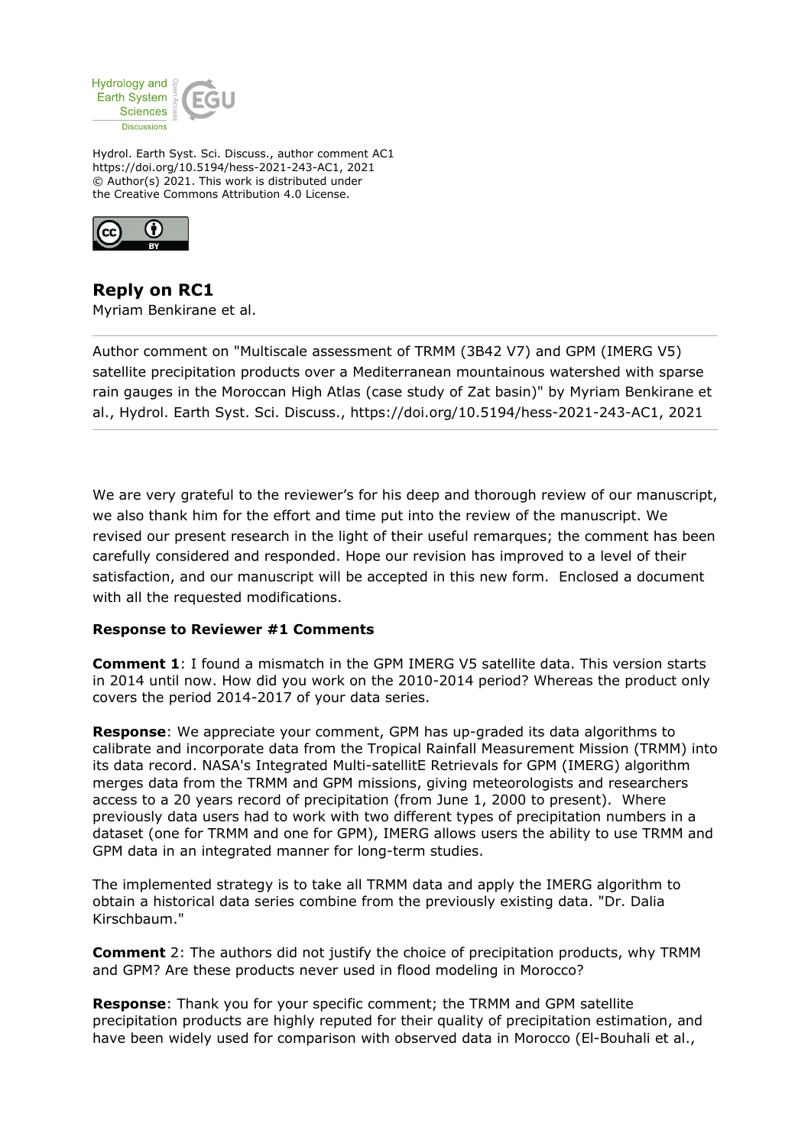

Hydrol. Earth Syst. Sci. Discuss., author comment AC1 https://doi.org/10.5194/hess-2021-243-AC1, 2021 © Author(s) 2021. This work is distributed under the Creative Commons Attribution 4.0 License.



**Reply on RC1** Myriam Benkirane et al.

Author comment on "Multiscale assessment of TRMM (3B42 V7) and GPM (IMERG V5) satellite precipitation products over a Mediterranean mountainous watershed with sparse rain gauges in the Moroccan High Atlas (case study of Zat basin)" by Myriam Benkirane et al., Hydrol. Earth Syst. Sci. Discuss., https://doi.org/10.5194/hess-2021-243-AC1, 2021

We are very grateful to the reviewer's for his deep and thorough review of our manuscript, we also thank him for the effort and time put into the review of the manuscript. We revised our present research in the light of their useful remarques; the comment has been carefully considered and responded. Hope our revision has improved to a level of their satisfaction, and our manuscript will be accepted in this new form. Enclosed a document with all the requested modifications.

# **Response to Reviewer #1 Comments**

**Comment 1**: I found a mismatch in the GPM IMERG V5 satellite data. This version starts in 2014 until now. How did you work on the 2010-2014 period? Whereas the product only covers the period 2014-2017 of your data series.

**Response**: We appreciate your comment, GPM has up-graded its data algorithms to calibrate and incorporate data from the Tropical Rainfall Measurement Mission (TRMM) into its data record. NASA's Integrated Multi-satellitE Retrievals for GPM (IMERG) algorithm merges data from the TRMM and GPM missions, giving meteorologists and researchers access to a 20 years record of precipitation (from June 1, 2000 to present). Where previously data users had to work with two different types of precipitation numbers in a dataset (one for TRMM and one for GPM), IMERG allows users the ability to use TRMM and GPM data in an integrated manner for long-term studies.

The implemented strategy is to take all TRMM data and apply the IMERG algorithm to obtain a historical data series combine from the previously existing data. "Dr. Dalia Kirschbaum."

**Comment** 2: The authors did not justify the choice of precipitation products, why TRMM and GPM? Are these products never used in flood modeling in Morocco?

**Response**: Thank you for your specific comment; the TRMM and GPM satellite precipitation products are highly reputed for their quality of precipitation estimation, and have been widely used for comparison with observed data in Morocco (El-Bouhali et al.,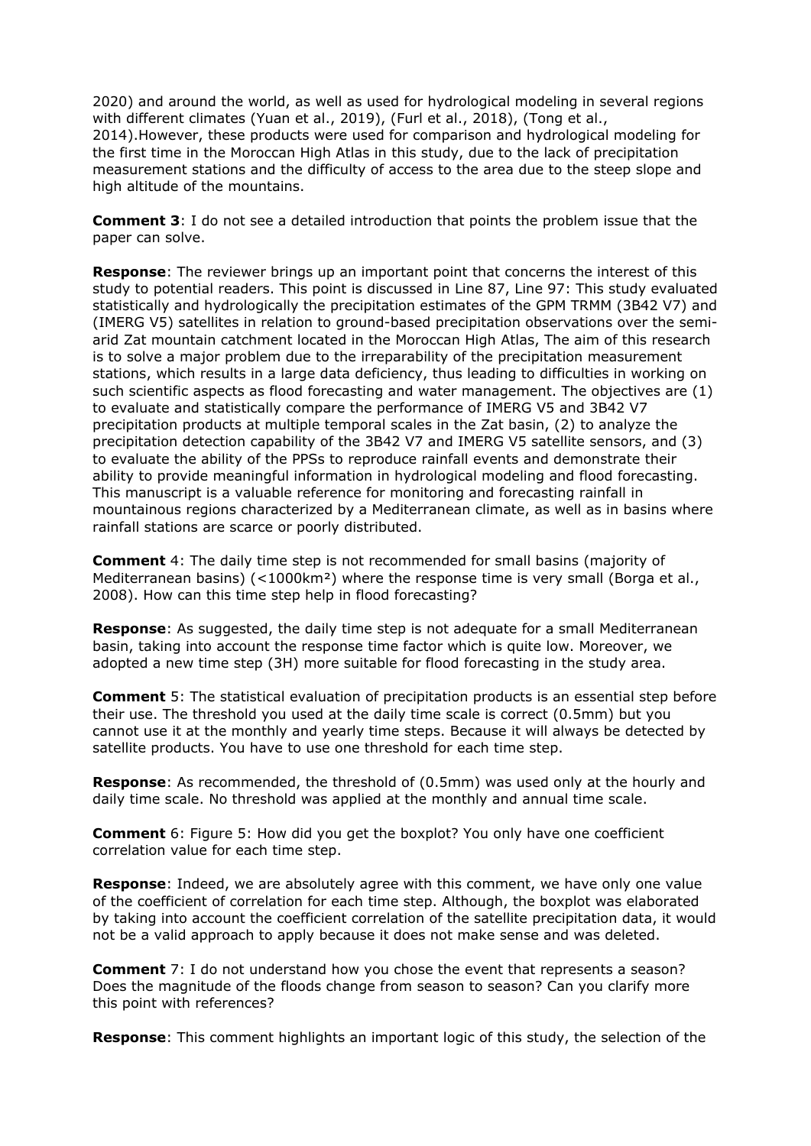2020) and around the world, as well as used for hydrological modeling in several regions with different climates (Yuan et al., 2019), (Furl et al., 2018), (Tong et al., 2014).However, these products were used for comparison and hydrological modeling for the first time in the Moroccan High Atlas in this study, due to the lack of precipitation measurement stations and the difficulty of access to the area due to the steep slope and high altitude of the mountains.

**Comment 3**: I do not see a detailed introduction that points the problem issue that the paper can solve.

**Response**: The reviewer brings up an important point that concerns the interest of this study to potential readers. This point is discussed in Line 87, Line 97: This study evaluated statistically and hydrologically the precipitation estimates of the GPM TRMM (3B42 V7) and (IMERG V5) satellites in relation to ground-based precipitation observations over the semiarid Zat mountain catchment located in the Moroccan High Atlas, The aim of this research is to solve a major problem due to the irreparability of the precipitation measurement stations, which results in a large data deficiency, thus leading to difficulties in working on such scientific aspects as flood forecasting and water management. The objectives are (1) to evaluate and statistically compare the performance of IMERG V5 and 3B42 V7 precipitation products at multiple temporal scales in the Zat basin, (2) to analyze the precipitation detection capability of the 3B42 V7 and IMERG V5 satellite sensors, and (3) to evaluate the ability of the PPSs to reproduce rainfall events and demonstrate their ability to provide meaningful information in hydrological modeling and flood forecasting. This manuscript is a valuable reference for monitoring and forecasting rainfall in mountainous regions characterized by a Mediterranean climate, as well as in basins where rainfall stations are scarce or poorly distributed.

**Comment** 4: The daily time step is not recommended for small basins (majority of Mediterranean basins) (<1000km<sup>2</sup>) where the response time is very small (Borga et al., 2008). How can this time step help in flood forecasting?

**Response**: As suggested, the daily time step is not adequate for a small Mediterranean basin, taking into account the response time factor which is quite low. Moreover, we adopted a new time step (3H) more suitable for flood forecasting in the study area.

**Comment** 5: The statistical evaluation of precipitation products is an essential step before their use. The threshold you used at the daily time scale is correct (0.5mm) but you cannot use it at the monthly and yearly time steps. Because it will always be detected by satellite products. You have to use one threshold for each time step.

**Response**: As recommended, the threshold of (0.5mm) was used only at the hourly and daily time scale. No threshold was applied at the monthly and annual time scale.

**Comment** 6: Figure 5: How did you get the boxplot? You only have one coefficient correlation value for each time step.

**Response**: Indeed, we are absolutely agree with this comment, we have only one value of the coefficient of correlation for each time step. Although, the boxplot was elaborated by taking into account the coefficient correlation of the satellite precipitation data, it would not be a valid approach to apply because it does not make sense and was deleted.

**Comment** 7: I do not understand how you chose the event that represents a season? Does the magnitude of the floods change from season to season? Can you clarify more this point with references?

**Response**: This comment highlights an important logic of this study, the selection of the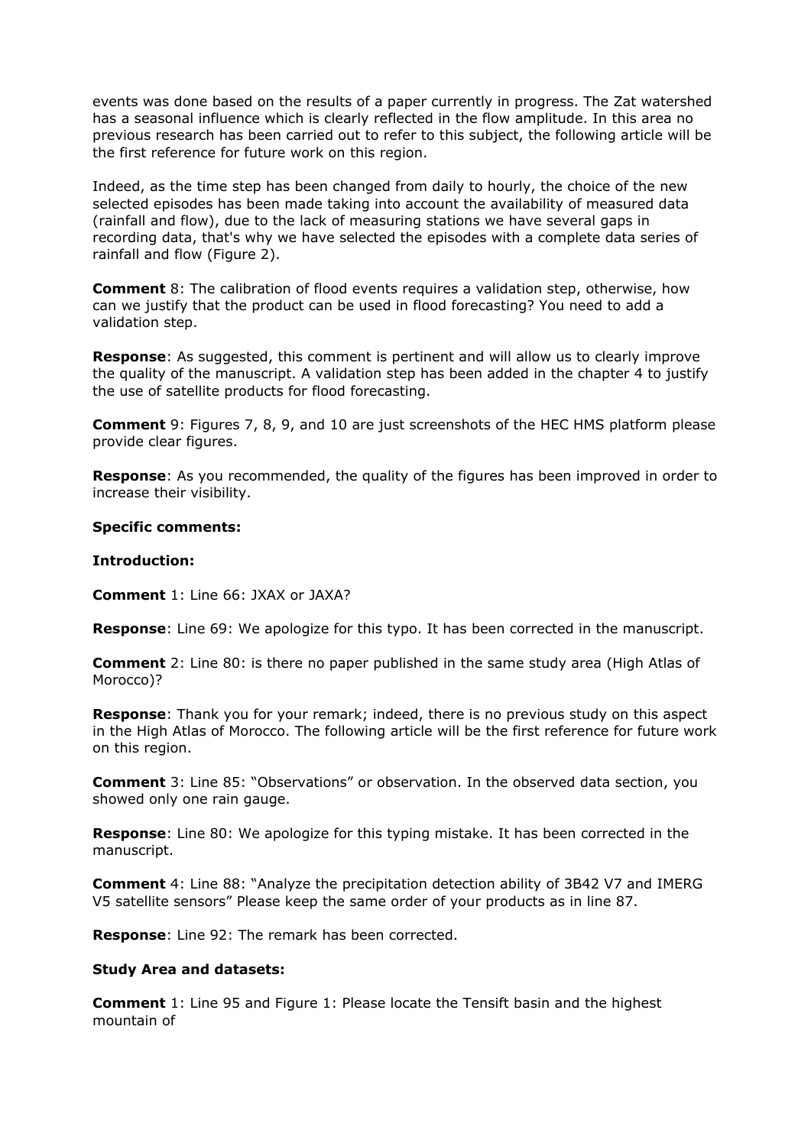events was done based on the results of a paper currently in progress. The Zat watershed has a seasonal influence which is clearly reflected in the flow amplitude. In this area no previous research has been carried out to refer to this subject, the following article will be the first reference for future work on this region.

Indeed, as the time step has been changed from daily to hourly, the choice of the new selected episodes has been made taking into account the availability of measured data (rainfall and flow), due to the lack of measuring stations we have several gaps in recording data, that's why we have selected the episodes with a complete data series of rainfall and flow (Figure 2).

**Comment** 8: The calibration of flood events requires a validation step, otherwise, how can we justify that the product can be used in flood forecasting? You need to add a validation step.

**Response**: As suggested, this comment is pertinent and will allow us to clearly improve the quality of the manuscript. A validation step has been added in the chapter 4 to justify the use of satellite products for flood forecasting.

**Comment** 9: Figures 7, 8, 9, and 10 are just screenshots of the HEC HMS platform please provide clear figures.

**Response**: As you recommended, the quality of the figures has been improved in order to increase their visibility.

## **Specific comments:**

## **Introduction:**

**Comment** 1: Line 66: JXAX or JAXA?

**Response**: Line 69: We apologize for this typo. It has been corrected in the manuscript.

**Comment** 2: Line 80: is there no paper published in the same study area (High Atlas of Morocco)?

**Response**: Thank you for your remark; indeed, there is no previous study on this aspect in the High Atlas of Morocco. The following article will be the first reference for future work on this region.

**Comment** 3: Line 85: "Observations" or observation. In the observed data section, you showed only one rain gauge.

**Response**: Line 80: We apologize for this typing mistake. It has been corrected in the manuscript.

**Comment** 4: Line 88: "Analyze the precipitation detection ability of 3B42 V7 and IMERG V5 satellite sensors" Please keep the same order of your products as in line 87.

**Response**: Line 92: The remark has been corrected.

### **Study Area and datasets:**

**Comment** 1: Line 95 and Figure 1: Please locate the Tensift basin and the highest mountain of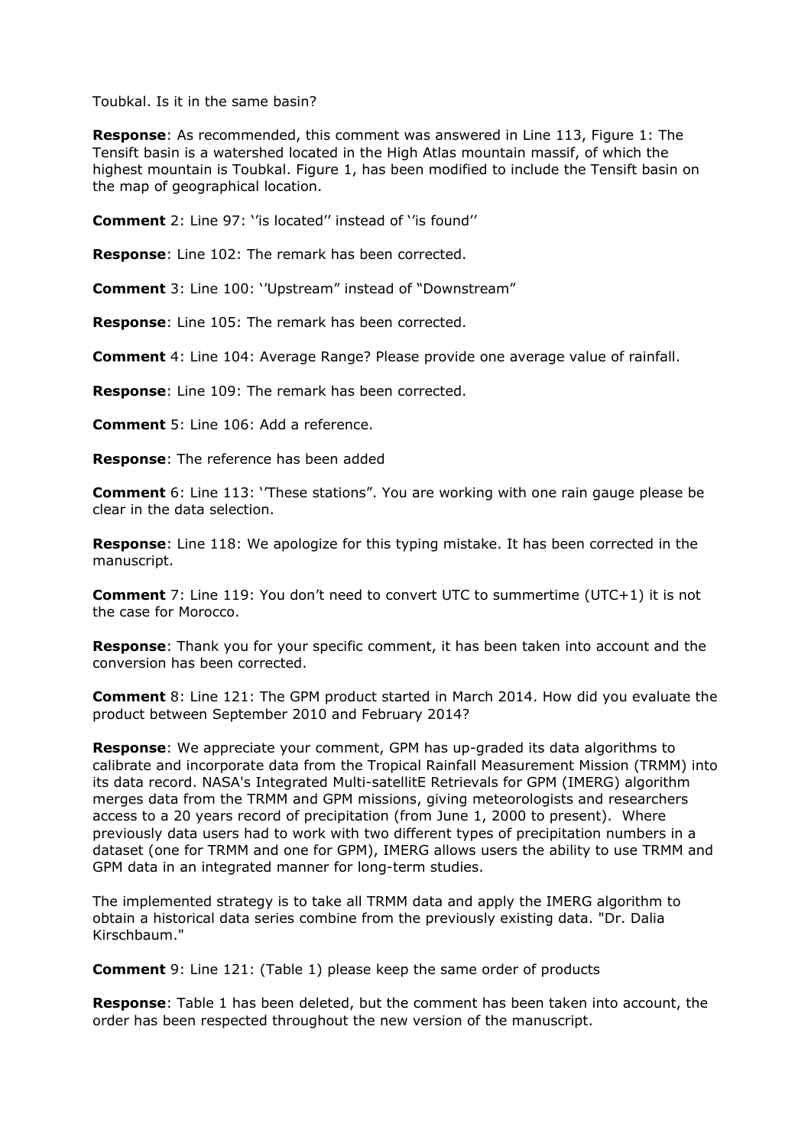Toubkal. Is it in the same basin?

**Response**: As recommended, this comment was answered in Line 113, Figure 1: The Tensift basin is a watershed located in the High Atlas mountain massif, of which the highest mountain is Toubkal. Figure 1, has been modified to include the Tensift basin on the map of geographical location.

**Comment** 2: Line 97: ''is located'' instead of ''is found''

**Response**: Line 102: The remark has been corrected.

**Comment** 3: Line 100: ''Upstream" instead of "Downstream"

**Response**: Line 105: The remark has been corrected.

**Comment** 4: Line 104: Average Range? Please provide one average value of rainfall.

**Response**: Line 109: The remark has been corrected.

**Comment** 5: Line 106: Add a reference.

**Response**: The reference has been added

**Comment** 6: Line 113: ''These stations". You are working with one rain gauge please be clear in the data selection.

**Response**: Line 118: We apologize for this typing mistake. It has been corrected in the manuscript.

**Comment** 7: Line 119: You don't need to convert UTC to summertime (UTC+1) it is not the case for Morocco.

**Response**: Thank you for your specific comment, it has been taken into account and the conversion has been corrected.

**Comment** 8: Line 121: The GPM product started in March 2014. How did you evaluate the product between September 2010 and February 2014?

**Response**: We appreciate your comment, GPM has up-graded its data algorithms to calibrate and incorporate data from the Tropical Rainfall Measurement Mission (TRMM) into its data record. NASA's Integrated Multi-satellitE Retrievals for GPM (IMERG) algorithm merges data from the TRMM and GPM missions, giving meteorologists and researchers access to a 20 years record of precipitation (from June 1, 2000 to present). Where previously data users had to work with two different types of precipitation numbers in a dataset (one for TRMM and one for GPM), IMERG allows users the ability to use TRMM and GPM data in an integrated manner for long-term studies.

The implemented strategy is to take all TRMM data and apply the IMERG algorithm to obtain a historical data series combine from the previously existing data. "Dr. Dalia Kirschbaum."

**Comment** 9: Line 121: (Table 1) please keep the same order of products

**Response**: Table 1 has been deleted, but the comment has been taken into account, the order has been respected throughout the new version of the manuscript.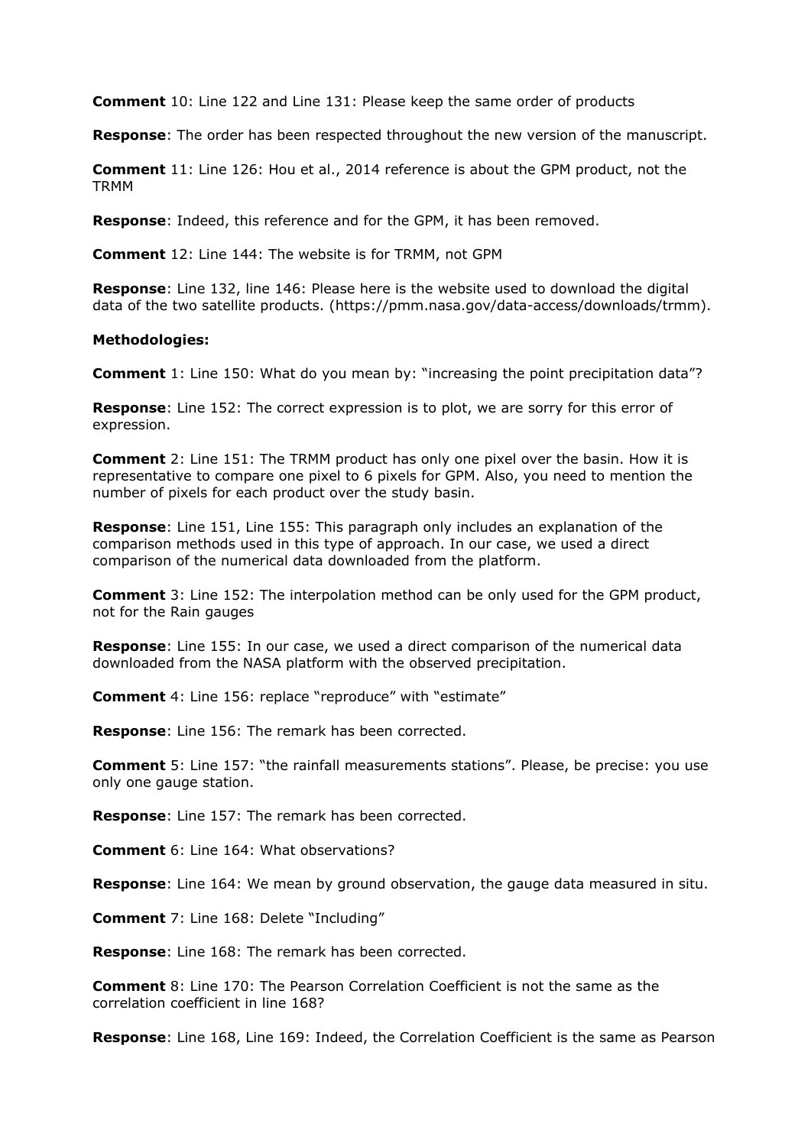**Comment** 10: Line 122 and Line 131: Please keep the same order of products

**Response**: The order has been respected throughout the new version of the manuscript.

**Comment** 11: Line 126: Hou et al., 2014 reference is about the GPM product, not the TRMM

**Response**: Indeed, this reference and for the GPM, it has been removed.

**Comment** 12: Line 144: The website is for TRMM, not GPM

**Response**: Line 132, line 146: Please here is the website used to download the digital data of the two satellite products. (https://pmm.nasa.gov/data-access/downloads/trmm).

### **Methodologies:**

**Comment** 1: Line 150: What do you mean by: "increasing the point precipitation data"?

**Response**: Line 152: The correct expression is to plot, we are sorry for this error of expression.

**Comment** 2: Line 151: The TRMM product has only one pixel over the basin. How it is representative to compare one pixel to 6 pixels for GPM. Also, you need to mention the number of pixels for each product over the study basin.

**Response**: Line 151, Line 155: This paragraph only includes an explanation of the comparison methods used in this type of approach. In our case, we used a direct comparison of the numerical data downloaded from the platform.

**Comment** 3: Line 152: The interpolation method can be only used for the GPM product, not for the Rain gauges

**Response**: Line 155: In our case, we used a direct comparison of the numerical data downloaded from the NASA platform with the observed precipitation.

**Comment** 4: Line 156: replace "reproduce" with "estimate"

**Response**: Line 156: The remark has been corrected.

**Comment** 5: Line 157: "the rainfall measurements stations". Please, be precise: you use only one gauge station.

**Response**: Line 157: The remark has been corrected.

**Comment** 6: Line 164: What observations?

**Response**: Line 164: We mean by ground observation, the gauge data measured in situ.

**Comment** 7: Line 168: Delete "Including"

**Response**: Line 168: The remark has been corrected.

**Comment** 8: Line 170: The Pearson Correlation Coefficient is not the same as the correlation coefficient in line 168?

**Response**: Line 168, Line 169: Indeed, the Correlation Coefficient is the same as Pearson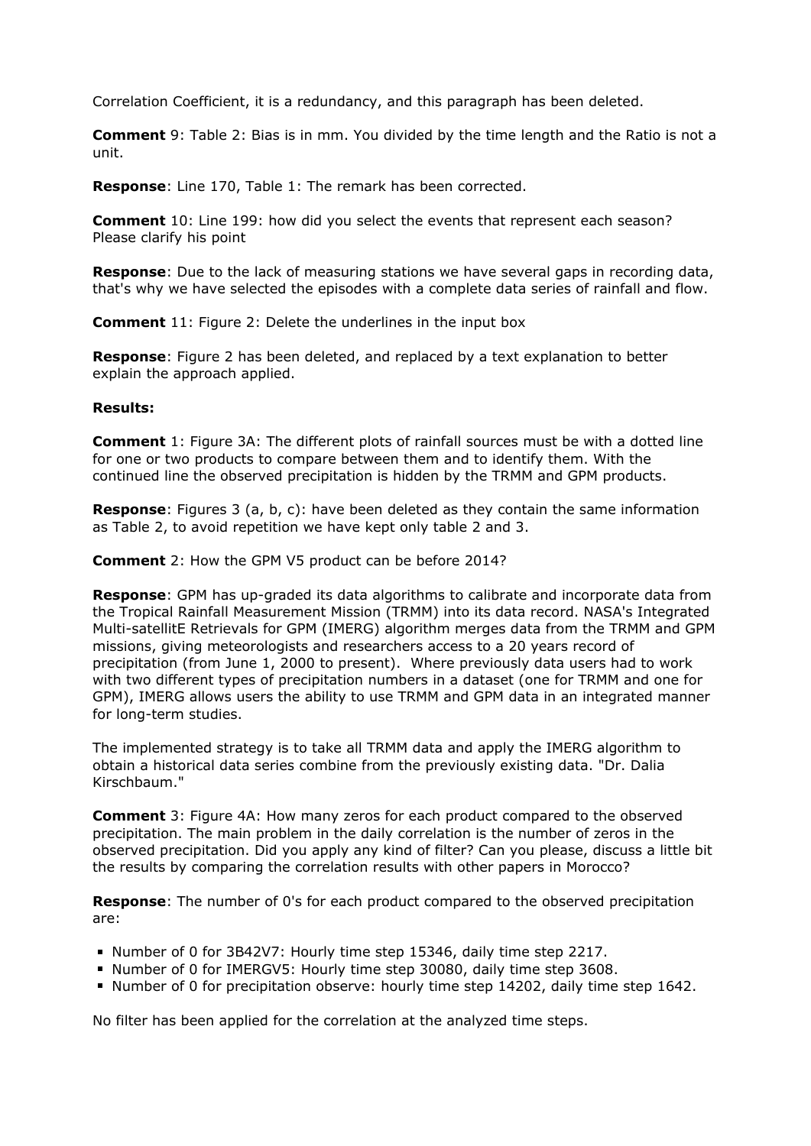Correlation Coefficient, it is a redundancy, and this paragraph has been deleted.

**Comment** 9: Table 2: Bias is in mm. You divided by the time length and the Ratio is not a unit.

**Response**: Line 170, Table 1: The remark has been corrected.

**Comment** 10: Line 199: how did you select the events that represent each season? Please clarify his point

**Response**: Due to the lack of measuring stations we have several gaps in recording data, that's why we have selected the episodes with a complete data series of rainfall and flow.

**Comment** 11: Figure 2: Delete the underlines in the input box

**Response**: Figure 2 has been deleted, and replaced by a text explanation to better explain the approach applied.

## **Results:**

**Comment** 1: Figure 3A: The different plots of rainfall sources must be with a dotted line for one or two products to compare between them and to identify them. With the continued line the observed precipitation is hidden by the TRMM and GPM products.

**Response**: Figures 3 (a, b, c): have been deleted as they contain the same information as Table 2, to avoid repetition we have kept only table 2 and 3.

**Comment** 2: How the GPM V5 product can be before 2014?

**Response**: GPM has up-graded its data algorithms to calibrate and incorporate data from the Tropical Rainfall Measurement Mission (TRMM) into its data record. NASA's Integrated Multi-satellitE Retrievals for GPM (IMERG) algorithm merges data from the TRMM and GPM missions, giving meteorologists and researchers access to a 20 years record of precipitation (from June 1, 2000 to present). Where previously data users had to work with two different types of precipitation numbers in a dataset (one for TRMM and one for GPM), IMERG allows users the ability to use TRMM and GPM data in an integrated manner for long-term studies.

The implemented strategy is to take all TRMM data and apply the IMERG algorithm to obtain a historical data series combine from the previously existing data. "Dr. Dalia Kirschbaum."

**Comment** 3: Figure 4A: How many zeros for each product compared to the observed precipitation. The main problem in the daily correlation is the number of zeros in the observed precipitation. Did you apply any kind of filter? Can you please, discuss a little bit the results by comparing the correlation results with other papers in Morocco?

**Response**: The number of 0's for each product compared to the observed precipitation are:

- Number of 0 for 3B42V7: Hourly time step 15346, daily time step 2217.
- Number of 0 for IMERGV5: Hourly time step 30080, daily time step 3608.
- Number of 0 for precipitation observe: hourly time step 14202, daily time step 1642.

No filter has been applied for the correlation at the analyzed time steps.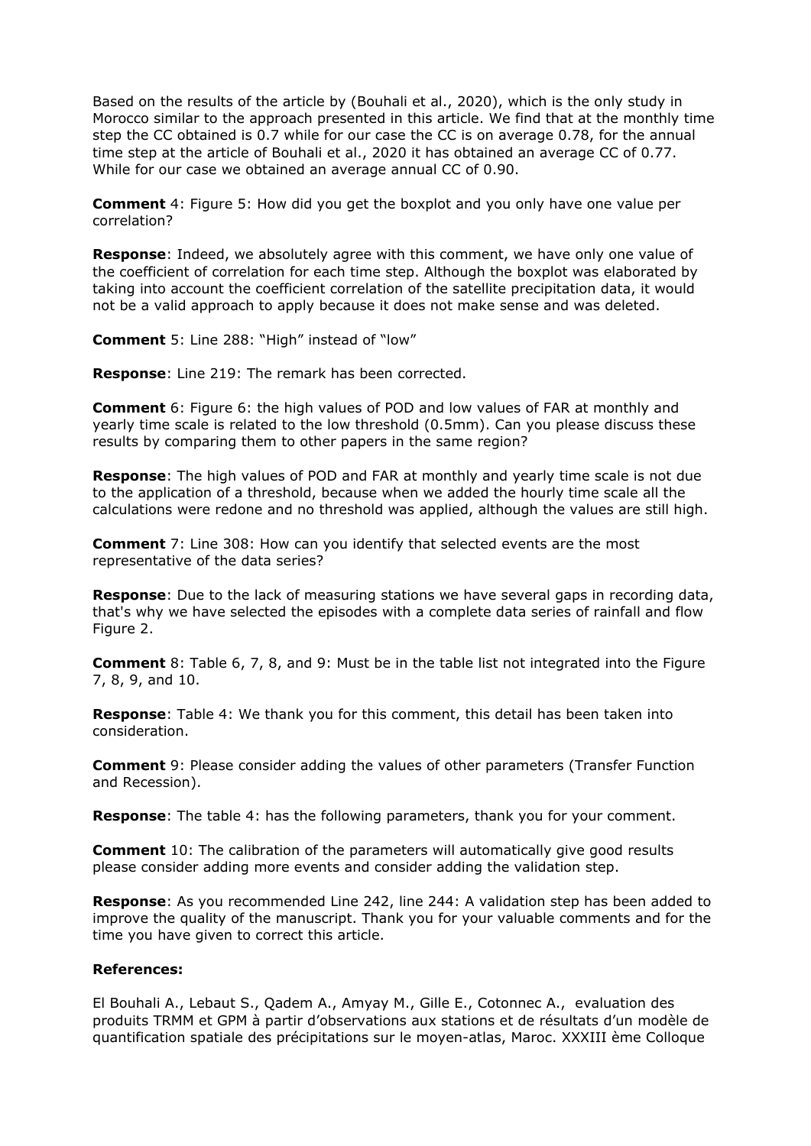Based on the results of the article by (Bouhali et al., 2020), which is the only study in Morocco similar to the approach presented in this article. We find that at the monthly time step the CC obtained is 0.7 while for our case the CC is on average 0.78, for the annual time step at the article of Bouhali et al., 2020 it has obtained an average CC of 0.77. While for our case we obtained an average annual CC of 0.90.

**Comment** 4: Figure 5: How did you get the boxplot and you only have one value per correlation?

**Response**: Indeed, we absolutely agree with this comment, we have only one value of the coefficient of correlation for each time step. Although the boxplot was elaborated by taking into account the coefficient correlation of the satellite precipitation data, it would not be a valid approach to apply because it does not make sense and was deleted.

**Comment** 5: Line 288: "High" instead of "low"

**Response**: Line 219: The remark has been corrected.

**Comment** 6: Figure 6: the high values of POD and low values of FAR at monthly and yearly time scale is related to the low threshold (0.5mm). Can you please discuss these results by comparing them to other papers in the same region?

**Response**: The high values of POD and FAR at monthly and yearly time scale is not due to the application of a threshold, because when we added the hourly time scale all the calculations were redone and no threshold was applied, although the values are still high.

**Comment** 7: Line 308: How can you identify that selected events are the most representative of the data series?

**Response**: Due to the lack of measuring stations we have several gaps in recording data, that's why we have selected the episodes with a complete data series of rainfall and flow Figure 2.

**Comment** 8: Table 6, 7, 8, and 9: Must be in the table list not integrated into the Figure 7, 8, 9, and 10.

**Response**: Table 4: We thank you for this comment, this detail has been taken into consideration.

**Comment** 9: Please consider adding the values of other parameters (Transfer Function and Recession).

**Response**: The table 4: has the following parameters, thank you for your comment.

**Comment** 10: The calibration of the parameters will automatically give good results please consider adding more events and consider adding the validation step.

**Response**: As you recommended Line 242, line 244: A validation step has been added to improve the quality of the manuscript. Thank you for your valuable comments and for the time you have given to correct this article.

### **References:**

El Bouhali A., Lebaut S., Qadem A., Amyay M., Gille E., Cotonnec A., evaluation des produits TRMM et GPM à partir d'observations aux stations et de résultats d'un modèle de quantification spatiale des précipitations sur le moyen-atlas, Maroc. XXXIII ème Colloque